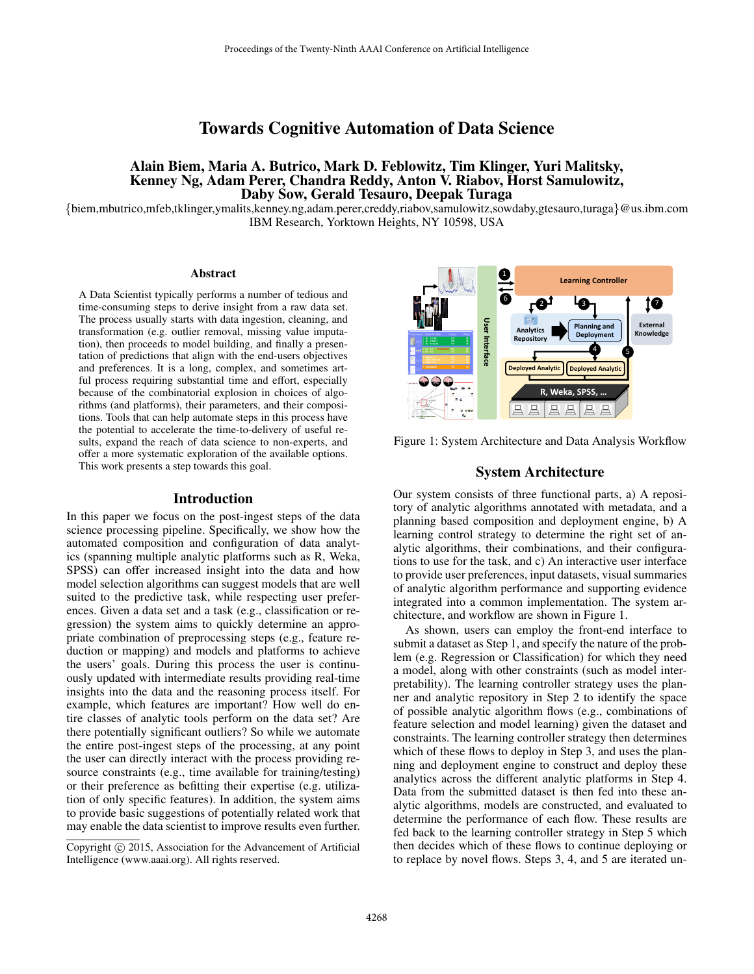# Towards Cognitive Automation of Data Science

# Alain Biem, Maria A. Butrico, Mark D. Feblowitz, Tim Klinger, Yuri Malitsky, Kenney Ng, Adam Perer, Chandra Reddy, Anton V. Riabov, Horst Samulowitz, Daby Sow, Gerald Tesauro, Deepak Turaga

{biem,mbutrico,mfeb,tklinger,ymalits,kenney.ng,adam.perer,creddy,riabov,samulowitz,sowdaby,gtesauro,turaga}@us.ibm.com IBM Research, Yorktown Heights, NY 10598, USA

#### Abstract

A Data Scientist typically performs a number of tedious and time-consuming steps to derive insight from a raw data set. The process usually starts with data ingestion, cleaning, and transformation (e.g. outlier removal, missing value imputation), then proceeds to model building, and finally a presentation of predictions that align with the end-users objectives and preferences. It is a long, complex, and sometimes artful process requiring substantial time and effort, especially because of the combinatorial explosion in choices of algorithms (and platforms), their parameters, and their compositions. Tools that can help automate steps in this process have the potential to accelerate the time-to-delivery of useful results, expand the reach of data science to non-experts, and offer a more systematic exploration of the available options. This work presents a step towards this goal.

#### Introduction

In this paper we focus on the post-ingest steps of the data science processing pipeline. Specifically, we show how the automated composition and configuration of data analytics (spanning multiple analytic platforms such as R, Weka, SPSS) can offer increased insight into the data and how model selection algorithms can suggest models that are well suited to the predictive task, while respecting user preferences. Given a data set and a task (e.g., classification or regression) the system aims to quickly determine an appropriate combination of preprocessing steps (e.g., feature reduction or mapping) and models and platforms to achieve the users' goals. During this process the user is continuously updated with intermediate results providing real-time insights into the data and the reasoning process itself. For example, which features are important? How well do entire classes of analytic tools perform on the data set? Are there potentially significant outliers? So while we automate the entire post-ingest steps of the processing, at any point the user can directly interact with the process providing resource constraints (e.g., time available for training/testing) or their preference as befitting their expertise (e.g. utilization of only specific features). In addition, the system aims to provide basic suggestions of potentially related work that may enable the data scientist to improve results even further.



Figure 1: System Architecture and Data Analysis Workflow

#### System Architecture

Our system consists of three functional parts, a) A repository of analytic algorithms annotated with metadata, and a planning based composition and deployment engine, b) A learning control strategy to determine the right set of analytic algorithms, their combinations, and their configurations to use for the task, and c) An interactive user interface to provide user preferences, input datasets, visual summaries of analytic algorithm performance and supporting evidence integrated into a common implementation. The system architecture, and workflow are shown in Figure 1.

As shown, users can employ the front-end interface to submit a dataset as Step 1, and specify the nature of the problem (e.g. Regression or Classification) for which they need a model, along with other constraints (such as model interpretability). The learning controller strategy uses the planner and analytic repository in Step 2 to identify the space of possible analytic algorithm flows (e.g., combinations of feature selection and model learning) given the dataset and constraints. The learning controller strategy then determines which of these flows to deploy in Step 3, and uses the planning and deployment engine to construct and deploy these analytics across the different analytic platforms in Step 4. Data from the submitted dataset is then fed into these analytic algorithms, models are constructed, and evaluated to determine the performance of each flow. These results are fed back to the learning controller strategy in Step 5 which then decides which of these flows to continue deploying or to replace by novel flows. Steps 3, 4, and 5 are iterated un-

Copyright (c) 2015, Association for the Advancement of Artificial Intelligence (www.aaai.org). All rights reserved.